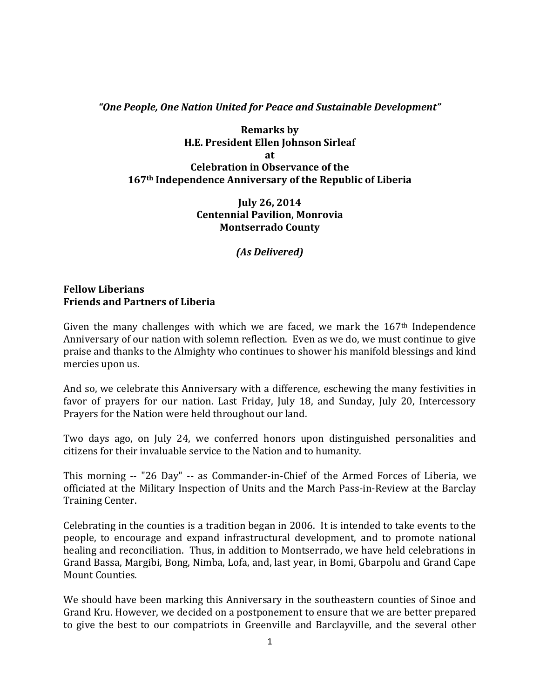## *"One People, One Nation United for Peace and Sustainable Development"*

## **Remarks by H.E. President Ellen Johnson Sirleaf at Celebration in Observance of the 167th Independence Anniversary of the Republic of Liberia**

**July 26, 2014 Centennial Pavilion, Monrovia Montserrado County** 

*(As Delivered)*

## **Fellow Liberians Friends and Partners of Liberia**

Given the many challenges with which we are faced, we mark the  $167<sup>th</sup>$  Independence Anniversary of our nation with solemn reflection. Even as we do, we must continue to give praise and thanks to the Almighty who continues to shower his manifold blessings and kind mercies upon us.

And so, we celebrate this Anniversary with a difference, eschewing the many festivities in favor of prayers for our nation. Last Friday, July 18, and Sunday, July 20, Intercessory Prayers for the Nation were held throughout our land.

Two days ago, on July 24, we conferred honors upon distinguished personalities and citizens for their invaluable service to the Nation and to humanity.

This morning -- "26 Day" -- as Commander-in-Chief of the Armed Forces of Liberia, we officiated at the Military Inspection of Units and the March Pass-in-Review at the Barclay Training Center.

Celebrating in the counties is a tradition began in 2006. It is intended to take events to the people, to encourage and expand infrastructural development, and to promote national healing and reconciliation. Thus, in addition to Montserrado, we have held celebrations in Grand Bassa, Margibi, Bong, Nimba, Lofa, and, last year, in Bomi, Gbarpolu and Grand Cape Mount Counties.

We should have been marking this Anniversary in the southeastern counties of Sinoe and Grand Kru. However, we decided on a postponement to ensure that we are better prepared to give the best to our compatriots in Greenville and Barclayville, and the several other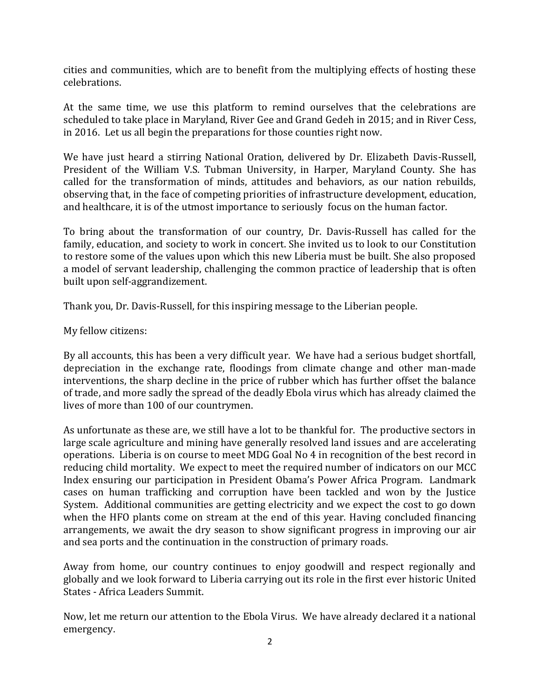cities and communities, which are to benefit from the multiplying effects of hosting these celebrations.

At the same time, we use this platform to remind ourselves that the celebrations are scheduled to take place in Maryland, River Gee and Grand Gedeh in 2015; and in River Cess, in 2016. Let us all begin the preparations for those counties right now.

We have just heard a stirring National Oration, delivered by Dr. Elizabeth Davis-Russell, President of the William V.S. Tubman University, in Harper, Maryland County. She has called for the transformation of minds, attitudes and behaviors, as our nation rebuilds, observing that, in the face of competing priorities of infrastructure development, education, and healthcare, it is of the utmost importance to seriously focus on the human factor.

To bring about the transformation of our country, Dr. Davis-Russell has called for the family, education, and society to work in concert. She invited us to look to our Constitution to restore some of the values upon which this new Liberia must be built. She also proposed a model of servant leadership, challenging the common practice of leadership that is often built upon self-aggrandizement.

Thank you, Dr. Davis-Russell, for this inspiring message to the Liberian people.

My fellow citizens:

By all accounts, this has been a very difficult year. We have had a serious budget shortfall, depreciation in the exchange rate, floodings from climate change and other man-made interventions, the sharp decline in the price of rubber which has further offset the balance of trade, and more sadly the spread of the deadly Ebola virus which has already claimed the lives of more than 100 of our countrymen.

As unfortunate as these are, we still have a lot to be thankful for. The productive sectors in large scale agriculture and mining have generally resolved land issues and are accelerating operations. Liberia is on course to meet MDG Goal No 4 in recognition of the best record in reducing child mortality. We expect to meet the required number of indicators on our MCC Index ensuring our participation in President Obama's Power Africa Program. Landmark cases on human trafficking and corruption have been tackled and won by the Justice System. Additional communities are getting electricity and we expect the cost to go down when the HFO plants come on stream at the end of this year. Having concluded financing arrangements, we await the dry season to show significant progress in improving our air and sea ports and the continuation in the construction of primary roads.

Away from home, our country continues to enjoy goodwill and respect regionally and globally and we look forward to Liberia carrying out its role in the first ever historic United States - Africa Leaders Summit.

Now, let me return our attention to the Ebola Virus. We have already declared it a national emergency.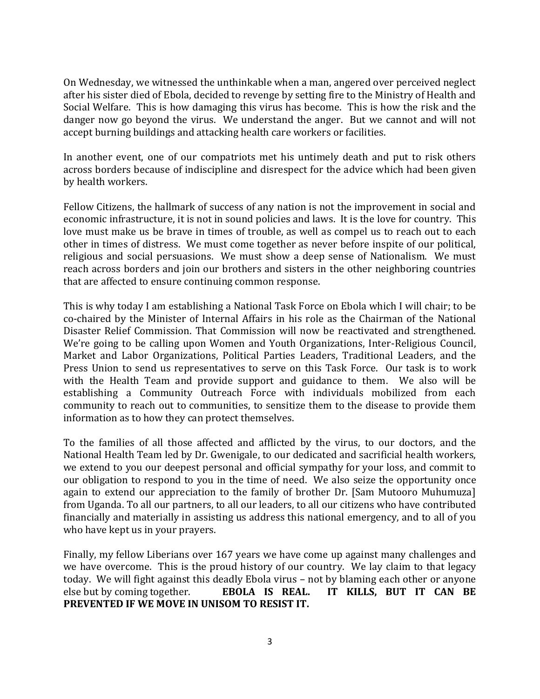On Wednesday, we witnessed the unthinkable when a man, angered over perceived neglect after his sister died of Ebola, decided to revenge by setting fire to the Ministry of Health and Social Welfare. This is how damaging this virus has become. This is how the risk and the danger now go beyond the virus. We understand the anger. But we cannot and will not accept burning buildings and attacking health care workers or facilities.

In another event, one of our compatriots met his untimely death and put to risk others across borders because of indiscipline and disrespect for the advice which had been given by health workers.

Fellow Citizens, the hallmark of success of any nation is not the improvement in social and economic infrastructure, it is not in sound policies and laws. It is the love for country. This love must make us be brave in times of trouble, as well as compel us to reach out to each other in times of distress. We must come together as never before inspite of our political, religious and social persuasions. We must show a deep sense of Nationalism. We must reach across borders and join our brothers and sisters in the other neighboring countries that are affected to ensure continuing common response.

This is why today I am establishing a National Task Force on Ebola which I will chair; to be co-chaired by the Minister of Internal Affairs in his role as the Chairman of the National Disaster Relief Commission. That Commission will now be reactivated and strengthened. We're going to be calling upon Women and Youth Organizations, Inter-Religious Council, Market and Labor Organizations, Political Parties Leaders, Traditional Leaders, and the Press Union to send us representatives to serve on this Task Force. Our task is to work with the Health Team and provide support and guidance to them. We also will be establishing a Community Outreach Force with individuals mobilized from each community to reach out to communities, to sensitize them to the disease to provide them information as to how they can protect themselves.

To the families of all those affected and afflicted by the virus, to our doctors, and the National Health Team led by Dr. Gwenigale, to our dedicated and sacrificial health workers, we extend to you our deepest personal and official sympathy for your loss, and commit to our obligation to respond to you in the time of need. We also seize the opportunity once again to extend our appreciation to the family of brother Dr. [Sam Mutooro Muhumuza] from Uganda. To all our partners, to all our leaders, to all our citizens who have contributed financially and materially in assisting us address this national emergency, and to all of you who have kept us in your prayers.

Finally, my fellow Liberians over 167 years we have come up against many challenges and we have overcome. This is the proud history of our country. We lay claim to that legacy today. We will fight against this deadly Ebola virus – not by blaming each other or anyone else but by coming together. **EBOLA IS REAL. IT KILLS, BUT IT CAN BE PREVENTED IF WE MOVE IN UNISOM TO RESIST IT.**